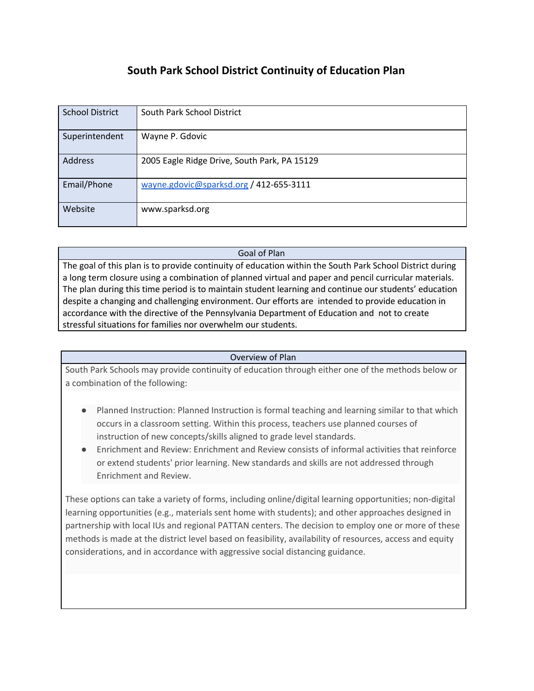## **South Park School District Continuity of Education Plan**

| <b>School District</b> | South Park School District                   |
|------------------------|----------------------------------------------|
| Superintendent         | Wayne P. Gdovic                              |
| <b>Address</b>         | 2005 Eagle Ridge Drive, South Park, PA 15129 |
| Email/Phone            | wayne.gdovic@sparksd.org / 412-655-3111      |
| Website                | www.sparksd.org                              |

#### Goal of Plan

The goal of this plan is to provide continuity of education within the South Park School District during a long term closure using a combination of planned virtual and paper and pencil curricular materials. The plan during this time period is to maintain student learning and continue our students' education despite a changing and challenging environment. Our efforts are intended to provide education in accordance with the directive of the Pennsylvania Department of Education and not to create stressful situations for families nor overwhelm our students.

#### Overview of Plan

South Park Schools may provide continuity of education through either one of the methods below or a combination of the following:

- Planned Instruction: Planned Instruction is formal teaching and learning similar to that which occurs in a classroom setting. Within this process, teachers use planned courses of instruction of new concepts/skills aligned to grade level standards.
- Enrichment and Review: Enrichment and Review consists of informal activities that reinforce or extend students' prior learning. New standards and skills are not addressed through Enrichment and Review.

These options can take a variety of forms, including online/digital learning opportunities; non-digital learning opportunities (e.g., materials sent home with students); and other approaches designed in partnership with local IUs and regional PATTAN centers. The decision to employ one or more of these methods is made at the district level based on feasibility, availability of resources, access and equity considerations, and in accordance with aggressive social distancing guidance.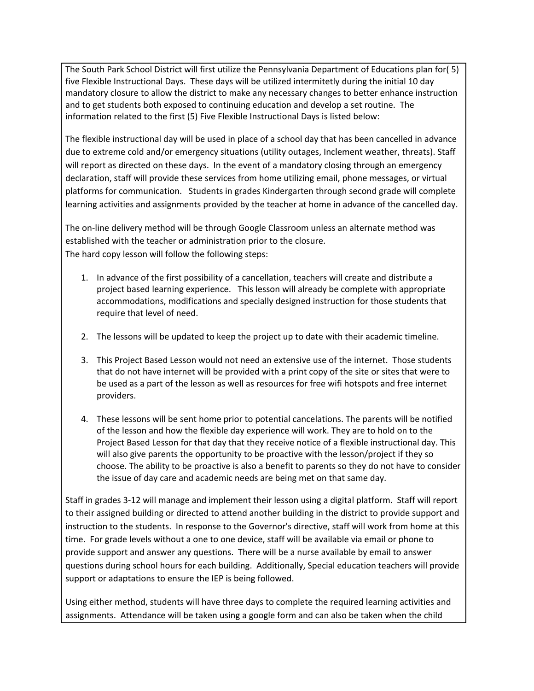The South Park School District will first utilize the Pennsylvania Department of Educations plan for( 5) five Flexible Instructional Days. These days will be utilized intermitetly during the initial 10 day mandatory closure to allow the district to make any necessary changes to better enhance instruction and to get students both exposed to continuing education and develop a set routine. The information related to the first (5) Five Flexible Instructional Days is listed below:

The flexible instructional day will be used in place of a school day that has been cancelled in advance due to extreme cold and/or emergency situations (utility outages, Inclement weather, threats). Staff will report as directed on these days. In the event of a mandatory closing through an emergency declaration, staff will provide these services from home utilizing email, phone messages, or virtual platforms for communication. Students in grades Kindergarten through second grade will complete learning activities and assignments provided by the teacher at home in advance of the cancelled day.

The on-line delivery method will be through Google Classroom unless an alternate method was established with the teacher or administration prior to the closure. The hard copy lesson will follow the following steps:

- 1. In advance of the first possibility of a cancellation, teachers will create and distribute a project based learning experience. This lesson will already be complete with appropriate accommodations, modifications and specially designed instruction for those students that require that level of need.
- 2. The lessons will be updated to keep the project up to date with their academic timeline.
- 3. This Project Based Lesson would not need an extensive use of the internet. Those students that do not have internet will be provided with a print copy of the site or sites that were to be used as a part of the lesson as well as resources for free wifi hotspots and free internet providers.
- 4. These lessons will be sent home prior to potential cancelations. The parents will be notified of the lesson and how the flexible day experience will work. They are to hold on to the Project Based Lesson for that day that they receive notice of a flexible instructional day. This will also give parents the opportunity to be proactive with the lesson/project if they so choose. The ability to be proactive is also a benefit to parents so they do not have to consider the issue of day care and academic needs are being met on that same day.

Staff in grades 3-12 will manage and implement their lesson using a digital platform. Staff will report to their assigned building or directed to attend another building in the district to provide support and instruction to the students. In response to the Governor's directive, staff will work from home at this time. For grade levels without a one to one device, staff will be available via email or phone to provide support and answer any questions. There will be a nurse available by email to answer questions during school hours for each building. Additionally, Special education teachers will provide support or adaptations to ensure the IEP is being followed.

Using either method, students will have three days to complete the required learning activities and assignments. Attendance will be taken using a google form and can also be taken when the child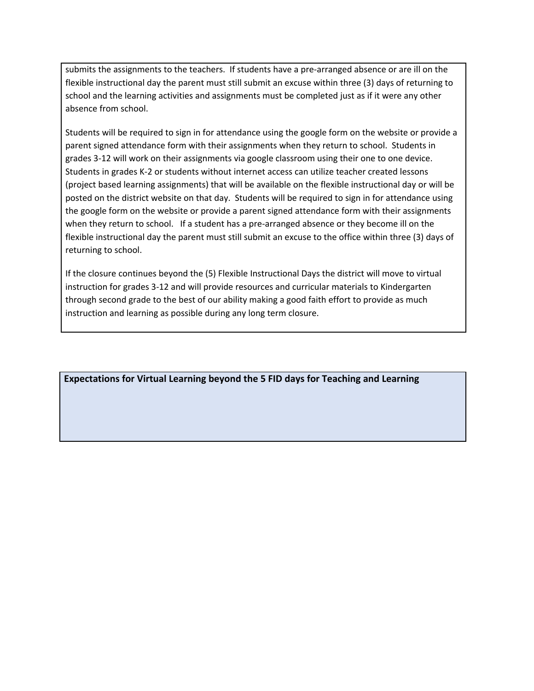submits the assignments to the teachers. If students have a pre-arranged absence or are ill on the flexible instructional day the parent must still submit an excuse within three (3) days of returning to school and the learning activities and assignments must be completed just as if it were any other absence from school.

Students will be required to sign in for attendance using the google form on the website or provide a parent signed attendance form with their assignments when they return to school. Students in grades 3-12 will work on their assignments via google classroom using their one to one device. Students in grades K-2 or students without internet access can utilize teacher created lessons (project based learning assignments) that will be available on the flexible instructional day or will be posted on the district website on that day. Students will be required to sign in for attendance using the google form on the website or provide a parent signed attendance form with their assignments when they return to school. If a student has a pre-arranged absence or they become ill on the flexible instructional day the parent must still submit an excuse to the office within three (3) days of returning to school.

If the closure continues beyond the (5) Flexible Instructional Days the district will move to virtual instruction for grades 3-12 and will provide resources and curricular materials to Kindergarten through second grade to the best of our ability making a good faith effort to provide as much instruction and learning as possible during any long term closure.

**Expectations for Virtual Learning beyond the 5 FID days for Teaching and Learning**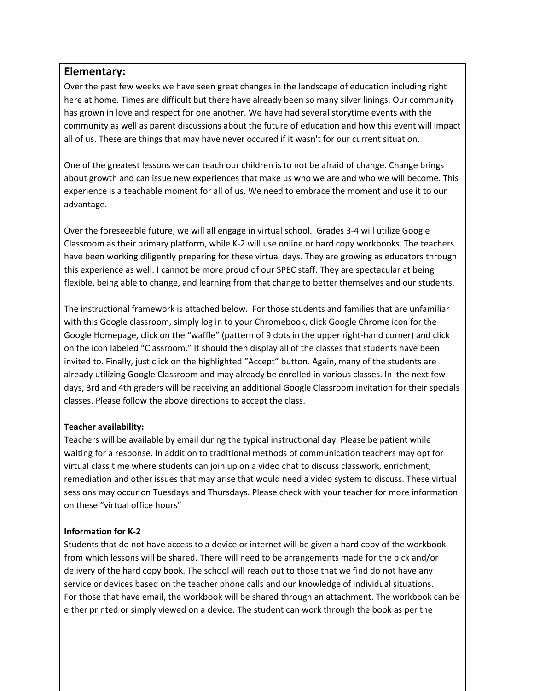## **Elementary:**

Over the past few weeks we have seen great changes in the landscape of education including right here at home. Times are difficult but there have already been so many silver linings. Our community has grown in love and respect for one another. We have had several storytime events with the community as well as parent discussions about the future of education and how this event will impact all of us. These are things that may have never occured if it wasn't for our current situation.

One of the greatest lessons we can teach our children is to not be afraid of change. Change brings about growth and can issue new experiences that make us who we are and who we will become. This experience is a teachable moment for all of us. We need to embrace the moment and use it to our advantage.

Over the foreseeable future, we will all engage in virtual school. Grades 3-4 will utilize Google Classroom as their primary platform, while K-2 will use online or hard copy workbooks. The teachers have been working diligently preparing for these virtual days. They are growing as educators through this experience as well. I cannot be more proud of our SPEC staff. They are spectacular at being flexible, being able to change, and learning from that change to better themselves and our students.

The instructional framework is attached below. For those students and families that are unfamiliar with this Google classroom, simply log in to your Chromebook, click Google Chrome icon for the Google Homepage, click on the "waffle" (pattern of 9 dots in the upper right-hand corner) and click on the icon labeled "Classroom." It should then display all of the classes that students have been invited to. Finally, just click on the highlighted "Accept" button. Again, many of the students are already utilizing Google Classroom and may already be enrolled in various classes. In the next few days, 3rd and 4th graders will be receiving an additional Google Classroom invitation for their specials classes. Please follow the above directions to accept the class.

### **Teacher availability:**

Teachers will be available by email during the typical instructional day. Please be patient while waiting for a response. In addition to traditional methods of communication teachers may opt for virtual class time where students can join up on a video chat to discuss classwork, enrichment, remediation and other issues that may arise that would need a video system to discuss. These virtual sessions may occur on Tuesdays and Thursdays. Please check with your teacher for more information on these "virtual office hours"

## **Information for K-2**

Students that do not have access to a device or internet will be given a hard copy of the workbook from which lessons will be shared. There will need to be arrangements made for the pick and/or delivery of the hard copy book. The school will reach out to those that we find do not have any service or devices based on the teacher phone calls and our knowledge of individual situations. For those that have email, the workbook will be shared through an attachment. The workbook can be either printed or simply viewed on a device. The student can work through the book as per the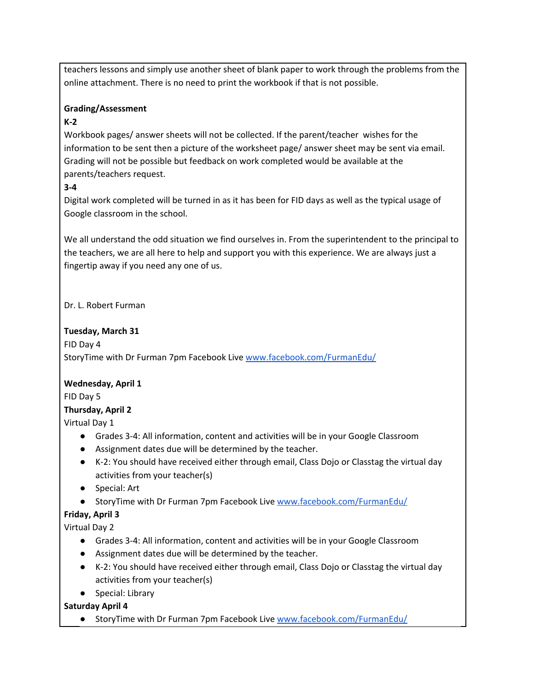teachers lessons and simply use another sheet of blank paper to work through the problems from the online attachment. There is no need to print the workbook if that is not possible.

## **Grading/Assessment**

## **K-2**

Workbook pages/ answer sheets will not be collected. If the parent/teacher wishes for the information to be sent then a picture of the worksheet page/ answer sheet may be sent via email. Grading will not be possible but feedback on work completed would be available at the parents/teachers request.

## **3-4**

Digital work completed will be turned in as it has been for FID days as well as the typical usage of Google classroom in the school.

We all understand the odd situation we find ourselves in. From the superintendent to the principal to the teachers, we are all here to help and support you with this experience. We are always just a fingertip away if you need any one of us.

Dr. L. Robert Furman

## **Tuesday, March 31**

FID Day 4 StoryTime with Dr Furman 7pm Facebook Live [www.facebook.com/FurmanEdu/](http://www.facebook.com/FurmanEdu/)

## **Wednesday, April 1**

FID Day 5

## **Thursday, April 2**

Virtual Day 1

- Grades 3-4: All information, content and activities will be in your Google Classroom
- Assignment dates due will be determined by the teacher.
- K-2: You should have received either through email, Class Dojo or Classtag the virtual day activities from your teacher(s)
- Special: Art
- StoryTime with Dr Furman 7pm Facebook Live [www.facebook.com/FurmanEdu/](http://www.facebook.com/FurmanEdu/)
- **Friday, April 3**

Virtual Day 2

- Grades 3-4: All information, content and activities will be in your Google Classroom
- Assignment dates due will be determined by the teacher.
- K-2: You should have received either through email, Class Dojo or Classtag the virtual day activities from your teacher(s)
- Special: Library

## **Saturday April 4**

● StoryTime with Dr Furman 7pm Facebook Live [www.facebook.com/FurmanEdu/](http://www.facebook.com/FurmanEdu/)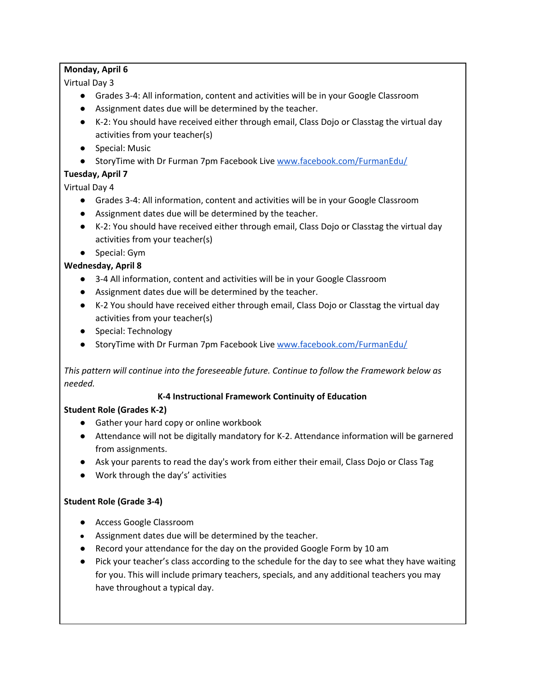### **Monday, April 6**

## Virtual Day 3

- Grades 3-4: All information, content and activities will be in your Google Classroom
- Assignment dates due will be determined by the teacher.
- K-2: You should have received either through email, Class Dojo or Classtag the virtual day activities from your teacher(s)
- Special: Music
- StoryTime with Dr Furman 7pm Facebook Live [www.facebook.com/FurmanEdu/](http://www.facebook.com/FurmanEdu/)

## **Tuesday, April 7**

Virtual Day 4

- Grades 3-4: All information, content and activities will be in your Google Classroom
- Assignment dates due will be determined by the teacher.
- K-2: You should have received either through email, Class Dojo or Classtag the virtual day activities from your teacher(s)
- Special: Gym

## **Wednesday, April 8**

- 3-4 All information, content and activities will be in your Google Classroom
- Assignment dates due will be determined by the teacher.
- K-2 You should have received either through email, Class Dojo or Classtag the virtual day activities from your teacher(s)
- Special: Technology
- StoryTime with Dr Furman 7pm Facebook Live [www.facebook.com/FurmanEdu/](http://www.facebook.com/FurmanEdu/)

*This pattern will continue into the foreseeable future. Continue to follow the Framework below as needed.*

## **K-4 Instructional Framework Continuity of Education**

## **Student Role (Grades K-2)**

- Gather your hard copy or online workbook
- Attendance will not be digitally mandatory for K-2. Attendance information will be garnered from assignments.
- Ask your parents to read the day's work from either their email, Class Dojo or Class Tag
- Work through the day's' activities

## **Student Role (Grade 3-4)**

- Access Google Classroom
- Assignment dates due will be determined by the teacher.
- Record your attendance for the day on the provided Google Form by 10 am
- Pick your teacher's class according to the schedule for the day to see what they have waiting for you. This will include primary teachers, specials, and any additional teachers you may have throughout a typical day.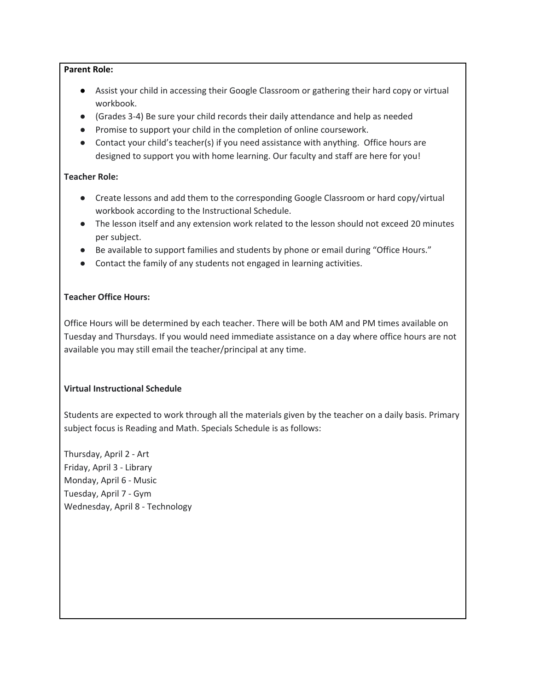#### **Parent Role:**

- Assist your child in accessing their Google Classroom or gathering their hard copy or virtual workbook.
- (Grades 3-4) Be sure your child records their daily attendance and help as needed
- Promise to support your child in the completion of online coursework.
- Contact your child's teacher(s) if you need assistance with anything. Office hours are designed to support you with home learning. Our faculty and staff are here for you!

#### **Teacher Role:**

- Create lessons and add them to the corresponding Google Classroom or hard copy/virtual workbook according to the Instructional Schedule.
- The lesson itself and any extension work related to the lesson should not exceed 20 minutes per subject.
- Be available to support families and students by phone or email during "Office Hours."
- Contact the family of any students not engaged in learning activities.

#### **Teacher Office Hours:**

Office Hours will be determined by each teacher. There will be both AM and PM times available on Tuesday and Thursdays. If you would need immediate assistance on a day where office hours are not available you may still email the teacher/principal at any time.

#### **Virtual Instructional Schedule**

Students are expected to work through all the materials given by the teacher on a daily basis. Primary subject focus is Reading and Math. Specials Schedule is as follows:

Thursday, April 2 - Art Friday, April 3 - Library Monday, April 6 - Music Tuesday, April 7 - Gym Wednesday, April 8 - Technology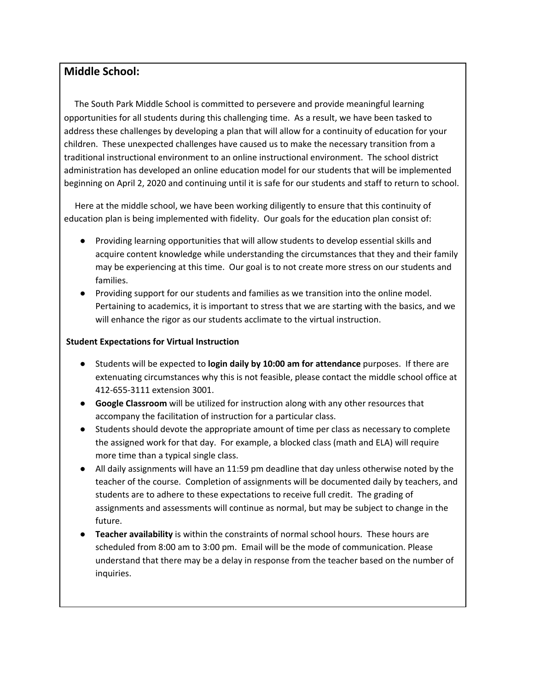## **Middle School:**

 The South Park Middle School is committed to persevere and provide meaningful learning opportunities for all students during this challenging time. As a result, we have been tasked to address these challenges by developing a plan that will allow for a continuity of education for your children. These unexpected challenges have caused us to make the necessary transition from a traditional instructional environment to an online instructional environment. The school district administration has developed an online education model for our students that will be implemented beginning on April 2, 2020 and continuing until it is safe for our students and staff to return to school.

Here at the middle school, we have been working diligently to ensure that this continuity of education plan is being implemented with fidelity. Our goals for the education plan consist of:

- Providing learning opportunities that will allow students to develop essential skills and acquire content knowledge while understanding the circumstances that they and their family may be experiencing at this time. Our goal is to not create more stress on our students and families.
- Providing support for our students and families as we transition into the online model. Pertaining to academics, it is important to stress that we are starting with the basics, and we will enhance the rigor as our students acclimate to the virtual instruction.

#### **Student Expectations for Virtual Instruction**

- Students will be expected to **login daily by 10:00 am for attendance** purposes. If there are extenuating circumstances why this is not feasible, please contact the middle school office at 412-655-3111 extension 3001.
- **Google Classroom** will be utilized for instruction along with any other resources that accompany the facilitation of instruction for a particular class.
- Students should devote the appropriate amount of time per class as necessary to complete the assigned work for that day. For example, a blocked class (math and ELA) will require more time than a typical single class.
- All daily assignments will have an 11:59 pm deadline that day unless otherwise noted by the teacher of the course. Completion of assignments will be documented daily by teachers, and students are to adhere to these expectations to receive full credit. The grading of assignments and assessments will continue as normal, but may be subject to change in the future.
- **Teacher availability** is within the constraints of normal school hours. These hours are scheduled from 8:00 am to 3:00 pm. Email will be the mode of communication. Please understand that there may be a delay in response from the teacher based on the number of inquiries.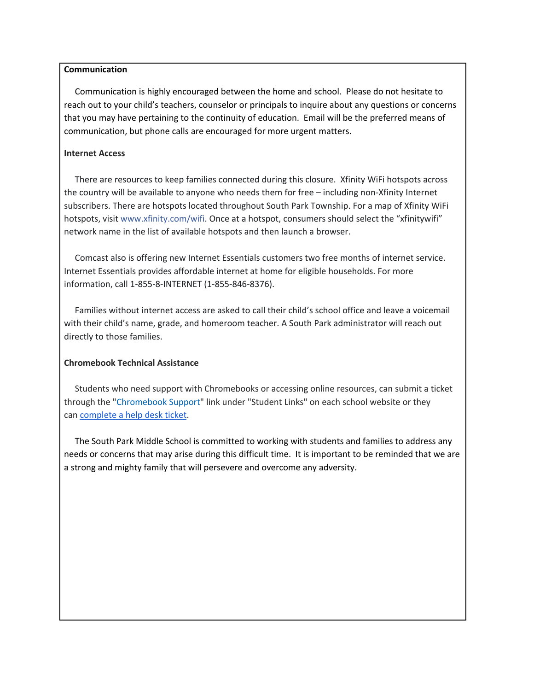#### **Communication**

Communication is highly encouraged between the home and school. Please do not hesitate to reach out to your child's teachers, counselor or principals to inquire about any questions or concerns that you may have pertaining to the continuity of education. Email will be the preferred means of communication, but phone calls are encouraged for more urgent matters.

#### **Internet Access**

There are resources to keep families connected during this closure. Xfinity WiFi hotspots across the country will be available to anyone who needs them for free – including non-Xfinity Internet subscribers. There are hotspots located throughout South Park Township. For a map of Xfinity WiFi hotspots, visit [www.xfinity.com/wifi.](http://www.xfinity.com/wifi?fbclid=IwAR3Pzz3BZj1_Ardyn28jVRbjJYmnYcYw6NfQ79MyhVRPCsSLceZcmSQjfIA) Once at a hotspot, consumers should select the "xfinitywifi" network name in the list of available hotspots and then launch a browser.

Comcast also is offering new Internet Essentials customers two free months of internet service. Internet Essentials provides affordable internet at home for eligible households. For more information, call 1-855-8-INTERNET (1-855-846-8376).

Families without internet access are asked to call their child's school office and leave a voicemail with their child's name, grade, and homeroom teacher. A South Park administrator will reach out directly to those families.

#### **Chromebook Technical Assistance**

Students who need support with Chromebooks or accessing online resources, can submit a ticket through the "[Chromebook](http://helpdesk.sparksd.org/portal) Support" link under "Student Links" on each school website or they can [complete](http://track.spe.schoolmessenger.com/f/a/x3PF2r7NXRcJj0YN2P4tGg~~/AAAAAQA~/RgRgXc33P0QiaHR0cDovL2hlbHBkZXNrLnNwYXJrc2Qub3JnL3BvcnRhbFcHc2Nob29sbUIKAAB3mnxedCejq1IaS2V2aW4uTW9uYWdoYW5Ac3BhcmtzZC5vcmdYBAAAAAE~) a help desk ticket.

The South Park Middle School is committed to working with students and families to address any needs or concerns that may arise during this difficult time. It is important to be reminded that we are a strong and mighty family that will persevere and overcome any adversity.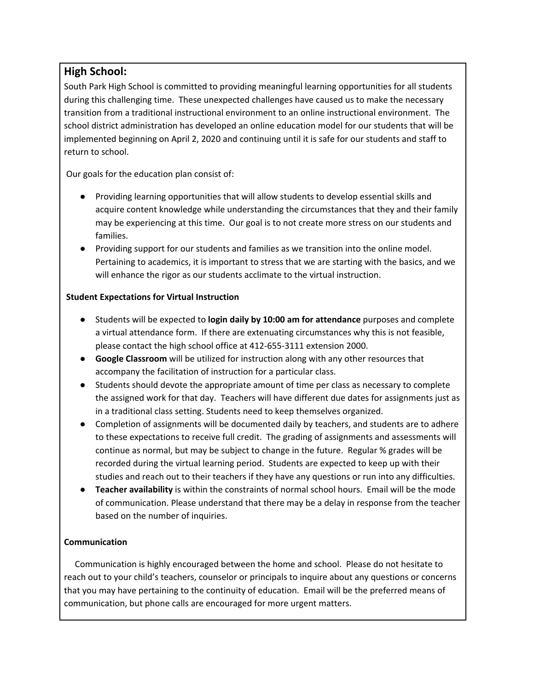## **High School:**

South Park High School is committed to providing meaningful learning opportunities for all students during this challenging time. These unexpected challenges have caused us to make the necessary transition from a traditional instructional environment to an online instructional environment. The school district administration has developed an online education model for our students that will be implemented beginning on April 2, 2020 and continuing until it is safe for our students and staff to return to school.

Our goals for the education plan consist of:

- Providing learning opportunities that will allow students to develop essential skills and acquire content knowledge while understanding the circumstances that they and their family may be experiencing at this time. Our goal is to not create more stress on our students and families.
- Providing support for our students and families as we transition into the online model. Pertaining to academics, it is important to stress that we are starting with the basics, and we will enhance the rigor as our students acclimate to the virtual instruction.

### **Student Expectations for Virtual Instruction**

- Students will be expected to **login daily by 10:00 am for attendance** purposes and complete a virtual attendance form. If there are extenuating circumstances why this is not feasible, please contact the high school office at 412-655-3111 extension 2000.
- **Google Classroom** will be utilized for instruction along with any other resources that accompany the facilitation of instruction for a particular class.
- Students should devote the appropriate amount of time per class as necessary to complete the assigned work for that day. Teachers will have different due dates for assignments just as in a traditional class setting. Students need to keep themselves organized.
- Completion of assignments will be documented daily by teachers, and students are to adhere to these expectations to receive full credit. The grading of assignments and assessments will continue as normal, but may be subject to change in the future. Regular % grades will be recorded during the virtual learning period. Students are expected to keep up with their studies and reach out to their teachers if they have any questions or run into any difficulties.
- **Teacher availability** is within the constraints of normal school hours. Email will be the mode of communication. Please understand that there may be a delay in response from the teacher based on the number of inquiries.

## **Communication**

Communication is highly encouraged between the home and school. Please do not hesitate to reach out to your child's teachers, counselor or principals to inquire about any questions or concerns that you may have pertaining to the continuity of education. Email will be the preferred means of communication, but phone calls are encouraged for more urgent matters.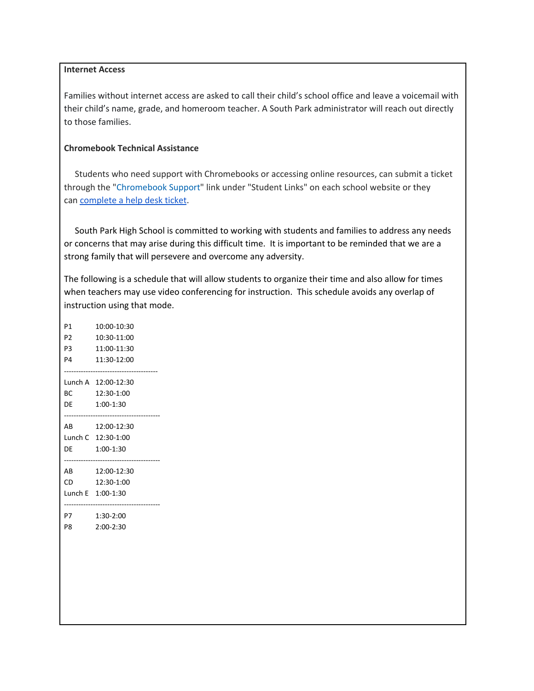#### **Internet Access**

Families without internet access are asked to call their child's school office and leave a voicemail with their child's name, grade, and homeroom teacher. A South Park administrator will reach out directly to those families.

#### **Chromebook Technical Assistance**

Students who need support with Chromebooks or accessing online resources, can submit a ticket through the "[Chromebook](http://helpdesk.sparksd.org/portal) Support" link under "Student Links" on each school website or they can [complete](http://track.spe.schoolmessenger.com/f/a/x3PF2r7NXRcJj0YN2P4tGg~~/AAAAAQA~/RgRgXc33P0QiaHR0cDovL2hlbHBkZXNrLnNwYXJrc2Qub3JnL3BvcnRhbFcHc2Nob29sbUIKAAB3mnxedCejq1IaS2V2aW4uTW9uYWdoYW5Ac3BhcmtzZC5vcmdYBAAAAAE~) a help desk ticket.

South Park High School is committed to working with students and families to address any needs or concerns that may arise during this difficult time. It is important to be reminded that we are a strong family that will persevere and overcome any adversity.

The following is a schedule that will allow students to organize their time and also allow for times when teachers may use video conferencing for instruction. This schedule avoids any overlap of instruction using that mode.

| P1             | 10:00-10:30                            |
|----------------|----------------------------------------|
| P2             | 10:30-11:00                            |
| P <sub>3</sub> | 11:00-11:30                            |
| P4             | 11:30-12:00                            |
|                |                                        |
|                | Lunch A 12:00-12:30                    |
| ВC             | 12:30-1:00                             |
| DE             | 1:00-1:30                              |
|                |                                        |
| AB             | 12:00-12:30                            |
|                | Lunch C 12:30-1:00                     |
| DE             | 1:00-1:30                              |
|                | -------------------------------------- |
| AB             | 12:00-12:30                            |
| CD             | 12:30-1:00                             |
|                | Lunch E 1:00-1:30                      |
|                | ----------------------                 |
| P7.            | 1:30-2:00                              |
| P8             | $2:00-2:30$                            |
|                |                                        |
|                |                                        |
|                |                                        |
|                |                                        |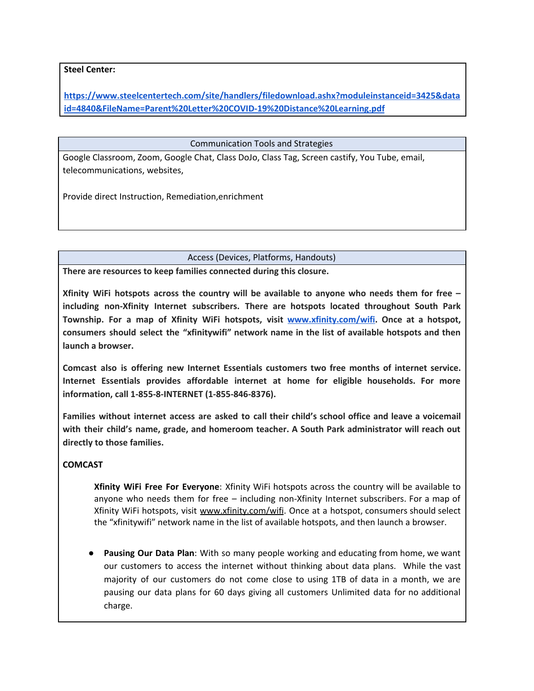**Steel Center:**

**[https://www.steelcentertech.com/site/handlers/filedownload.ashx?moduleinstanceid=3425&data](https://www.steelcentertech.com/site/handlers/filedownload.ashx?moduleinstanceid=3425&dataid=4840&FileName=Parent%20Letter%20COVID-19%20Distance%20Learning.pdf) [id=4840&FileName=Parent%20Letter%20COVID-19%20Distance%20Learning.pdf](https://www.steelcentertech.com/site/handlers/filedownload.ashx?moduleinstanceid=3425&dataid=4840&FileName=Parent%20Letter%20COVID-19%20Distance%20Learning.pdf)**

#### Communication Tools and Strategies

Google Classroom, Zoom, Google Chat, Class DoJo, Class Tag, Screen castify, You Tube, email, telecommunications, websites,

Provide direct Instruction, Remediation,enrichment

Access (Devices, Platforms, Handouts)

**There are resources to keep families connected during this closure.**

**Xfinity WiFi hotspots across the country will be available to anyone who needs them for free – including non-Xfinity Internet subscribers. There are hotspots located throughout South Park Township. For a map of Xfinity WiFi hotspots, visit [www.xfinity.com/wifi](http://track.spe.schoolmessenger.com/f/a/9ZZ0IBg7evO-I_Sv5YPKiw~~/AAAAAQA~/RgRgUiQfP0RgaHR0cDovL3d3dy54ZmluaXR5LmNvbS93aWZpP2ZiY2xpZD1Jd0FSM1B6ejNCWmoxX0FyZHluMjhqVlJiakpZbW5ZY1l3Nk5mUTc5TXloVlJQQ3NTTGNlWmNtU1FqZklBVwdzY2hvb2xtQgoAAJ_wcF4nBuh-Uhh3YXluZS5nZG92aWNAc3BhcmtzZC5vcmdYBAAAAAE~). Once at a hotspot, consumers should select the "xfinitywifi" network name in the list of available hotspots and then launch a browser.**

**Comcast also is offering new Internet Essentials customers two free months of internet service. Internet Essentials provides affordable internet at home for eligible households. For more information, call 1-855-8-INTERNET (1-855-846-8376).**

**Families without internet access are asked to call their child's school office and leave a voicemail with their child's name, grade, and homeroom teacher. A South Park administrator will reach out directly to those families.**

### **COMCAST**

**Xfinity WiFi Free For Everyone**: Xfinity WiFi hotspots across the country will be available to anyone who needs them for free – including non-Xfinity Internet subscribers. For a map of Xfinity WiFi hotspots, visit [www.xfinity.com/wifi.](http://www.xfinity.com/wifi) Once at a hotspot, consumers should select the "xfinitywifi" network name in the list of available hotspots, and then launch a browser.

● **Pausing Our Data Plan**: With so many people working and educating from home, we want our customers to access the internet without thinking about data plans. While the vast majority of our customers do not come close to using 1TB of data in a month, we are pausing our data plans for 60 days giving all customers Unlimited data for no additional charge.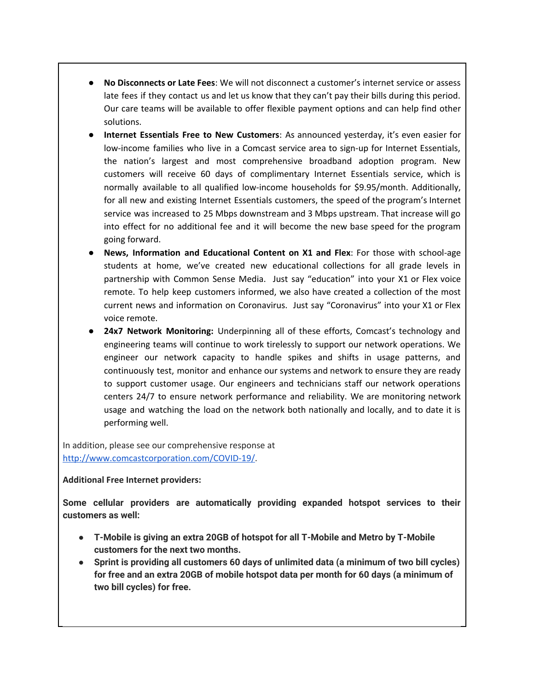- **No Disconnects or Late Fees**: We will not disconnect a customer's internet service or assess late fees if they contact us and let us know that they can't pay their bills during this period. Our care teams will be available to offer flexible payment options and can help find other solutions.
- **Internet Essentials Free to New Customers**: As announced yesterday, it's even easier for low-income families who live in a Comcast service area to sign-up for Internet Essentials, the nation's largest and most comprehensive broadband adoption program. New customers will receive 60 days of complimentary Internet Essentials service, which is normally available to all qualified low-income households for \$9.95/month. Additionally, for all new and existing Internet Essentials customers, the speed of the program's Internet service was increased to 25 Mbps downstream and 3 Mbps upstream. That increase will go into effect for no additional fee and it will become the new base speed for the program going forward.
- **News, Information and Educational Content on X1 and Flex**: For those with school-age students at home, we've created new educational collections for all grade levels in partnership with Common Sense Media. Just say "education" into your X1 or Flex voice remote. To help keep customers informed, we also have created a collection of the most current news and information on Coronavirus. Just say "Coronavirus" into your X1 or Flex voice remote.
- **24x7 Network Monitoring:** Underpinning all of these efforts, Comcast's technology and engineering teams will continue to work tirelessly to support our network operations. We engineer our network capacity to handle spikes and shifts in usage patterns, and continuously test, monitor and enhance our systems and network to ensure they are ready to support customer usage. Our engineers and technicians staff our network operations centers 24/7 to ensure network performance and reliability. We are monitoring network usage and watching the load on the network both nationally and locally, and to date it is performing well.

In addition, please see our comprehensive response at <http://www.comcastcorporation.com/COVID-19/>.

**Additional Free Internet providers:**

**Some cellular providers are automatically providing expanded hotspot services to their customers as well:**

- **● T-Mobile is giving an extra 20GB of hotspot for all T-Mobile and Metro by T-Mobile customers for the next two months.**
- **● Sprint is providing all customers 60 days of unlimited data (a minimum of two bill cycles) for free and an extra 20GB of mobile hotspot data per month for 60 days (a minimum of two bill cycles) for free.**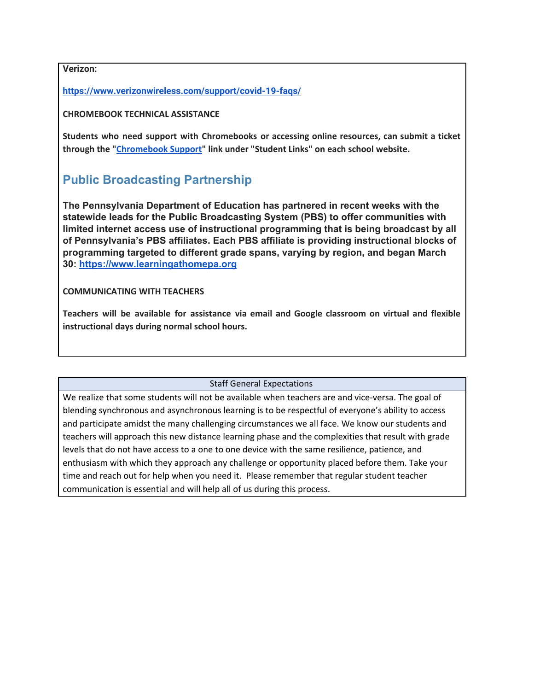**Verizon:**

**<https://www.verizonwireless.com/support/covid-19-faqs/>**

**CHROMEBOOK TECHNICAL ASSISTANCE**

**Students who need support with Chromebooks or accessing online resources, can submit a ticket through the "[Chromebook](http://track.spe.schoolmessenger.com/f/a/608ej6GFB_kp4INQi1dlXg~~/AAAAAQA~/RgRgUiQfP0QiaHR0cDovL2hlbHBkZXNrLnNwYXJrc2Qub3JnL3BvcnRhbFcHc2Nob29sbUIKAACf8HBeJwboflIYd2F5bmUuZ2RvdmljQHNwYXJrc2Qub3JnWAQAAAAB) Support" link under "Student Links" on each school website.**

## **Public Broadcasting Partnership**

**The Pennsylvania Department of Education has partnered in recent weeks with the statewide leads for the Public Broadcasting System (PBS) to offer communities with limited internet access use of instructional programming that is being broadcast by all of Pennsylvania's PBS affiliates. Each PBS affiliate is providing instructional blocks of programming targeted to different grade spans, varying by region, and began March 30: [https://www.learningathomepa.org](https://gcc01.safelinks.protection.outlook.com/?url=https%3A%2F%2Fwww.learningathomepa.org%2F&data=02%7C01%7Cc-jpittman%40pa.gov%7C3b51ce1aa1e144c61b3508d7d4d55c28%7C418e284101284dd59b6c47fc5a9a1bde%7C0%7C0%7C637211885159608033&sdata=GYzuvd9iLquHcwGMhKA8g7zZs7rxn9wHyHWp8aZVMiY%3D&reserved=0)**

#### **COMMUNICATING WITH TEACHERS**

**Teachers will be available for assistance via email and Google classroom on virtual and flexible instructional days during normal school hours.**

#### Staff General Expectations

We realize that some students will not be available when teachers are and vice-versa. The goal of blending synchronous and asynchronous learning is to be respectful of everyone's ability to access and participate amidst the many challenging circumstances we all face. We know our students and teachers will approach this new distance learning phase and the complexities that result with grade levels that do not have access to a one to one device with the same resilience, patience, and enthusiasm with which they approach any challenge or opportunity placed before them. Take your time and reach out for help when you need it. Please remember that regular student teacher communication is essential and will help all of us during this process.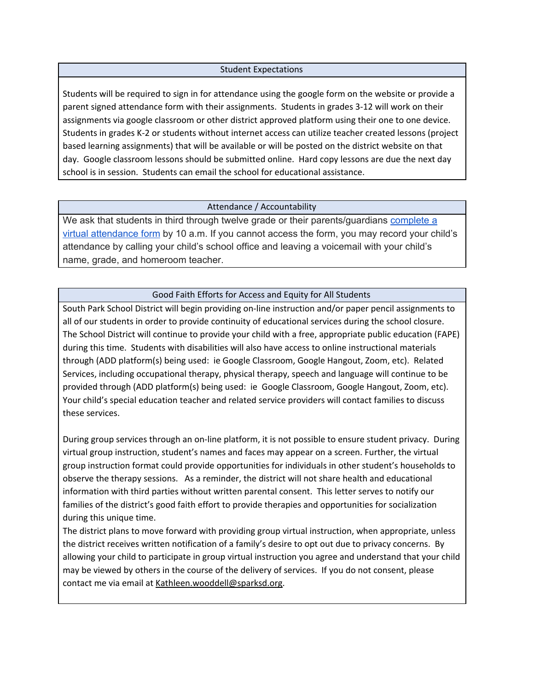#### Student Expectations

Students will be required to sign in for attendance using the google form on the website or provide a parent signed attendance form with their assignments. Students in grades 3-12 will work on their assignments via google classroom or other district approved platform using their one to one device. Students in grades K-2 or students without internet access can utilize teacher created lessons (project based learning assignments) that will be available or will be posted on the district website on that day. Google classroom lessons should be submitted online. Hard copy lessons are due the next day school is in session. Students can email the school for educational assistance.

### Attendance / Accountability

We ask that students in third through twelve grade or their parents/guardians [complete](http://track.spe.schoolmessenger.com/f/a/3ezGcwavW_pKYT8EeC_mfQ~~/AAAAAQA~/RgRgXc8jP0QjaHR0cHM6Ly9mb3Jtcy5nbGUvdE5QZ0xxR2szbTQ5WGRFVThXB3NjaG9vbG1CCgAAo5t8Xpl_MfdSGHdheW5lLmdkb3ZpY0BzcGFya3NkLm9yZ1gEAAAAAQ~~) a virtual [attendance](http://track.spe.schoolmessenger.com/f/a/3ezGcwavW_pKYT8EeC_mfQ~~/AAAAAQA~/RgRgXc8jP0QjaHR0cHM6Ly9mb3Jtcy5nbGUvdE5QZ0xxR2szbTQ5WGRFVThXB3NjaG9vbG1CCgAAo5t8Xpl_MfdSGHdheW5lLmdkb3ZpY0BzcGFya3NkLm9yZ1gEAAAAAQ~~) form by 10 a.m. If you cannot access the form, you may record your child's attendance by calling your child's school office and leaving a voicemail with your child's name, grade, and homeroom teacher.

## Good Faith Efforts for Access and Equity for All Students

South Park School District will begin providing on-line instruction and/or paper pencil assignments to all of our students in order to provide continuity of educational services during the school closure. The School District will continue to provide your child with a free, appropriate public education (FAPE) during this time. Students with disabilities will also have access to online instructional materials through (ADD platform(s) being used: ie Google Classroom, Google Hangout, Zoom, etc). Related Services, including occupational therapy, physical therapy, speech and language will continue to be provided through (ADD platform(s) being used: ie Google Classroom, Google Hangout, Zoom, etc). Your child's special education teacher and related service providers will contact families to discuss these services.

During group services through an on-line platform, it is not possible to ensure student privacy. During virtual group instruction, student's names and faces may appear on a screen. Further, the virtual group instruction format could provide opportunities for individuals in other student's households to observe the therapy sessions. As a reminder, the district will not share health and educational information with third parties without written parental consent. This letter serves to notify our families of the district's good faith effort to provide therapies and opportunities for socialization during this unique time.

The district plans to move forward with providing group virtual instruction, when appropriate, unless the district receives written notification of a family's desire to opt out due to privacy concerns. By allowing your child to participate in group virtual instruction you agree and understand that your child may be viewed by others in the course of the delivery of services. If you do not consent, please contact me via email at Kathleen.wooddell@sparksd.org.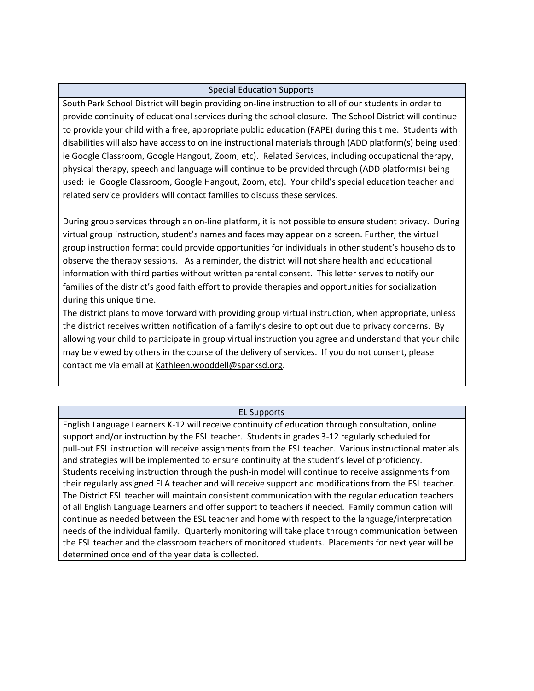#### Special Education Supports

South Park School District will begin providing on-line instruction to all of our students in order to provide continuity of educational services during the school closure. The School District will continue to provide your child with a free, appropriate public education (FAPE) during this time. Students with disabilities will also have access to online instructional materials through (ADD platform(s) being used: ie Google Classroom, Google Hangout, Zoom, etc). Related Services, including occupational therapy, physical therapy, speech and language will continue to be provided through (ADD platform(s) being used: ie Google Classroom, Google Hangout, Zoom, etc). Your child's special education teacher and related service providers will contact families to discuss these services.

During group services through an on-line platform, it is not possible to ensure student privacy. During virtual group instruction, student's names and faces may appear on a screen. Further, the virtual group instruction format could provide opportunities for individuals in other student's households to observe the therapy sessions. As a reminder, the district will not share health and educational information with third parties without written parental consent. This letter serves to notify our families of the district's good faith effort to provide therapies and opportunities for socialization during this unique time.

The district plans to move forward with providing group virtual instruction, when appropriate, unless the district receives written notification of a family's desire to opt out due to privacy concerns. By allowing your child to participate in group virtual instruction you agree and understand that your child may be viewed by others in the course of the delivery of services. If you do not consent, please contact me via email at Kathleen.wooddell@sparksd.org.

#### EL Supports

English Language Learners K-12 will receive continuity of education through consultation, online support and/or instruction by the ESL teacher. Students in grades 3-12 regularly scheduled for pull-out ESL instruction will receive assignments from the ESL teacher. Various instructional materials and strategies will be implemented to ensure continuity at the student's level of proficiency. Students receiving instruction through the push-in model will continue to receive assignments from their regularly assigned ELA teacher and will receive support and modifications from the ESL teacher. The District ESL teacher will maintain consistent communication with the regular education teachers of all English Language Learners and offer support to teachers if needed. Family communication will continue as needed between the ESL teacher and home with respect to the language/interpretation needs of the individual family. Quarterly monitoring will take place through communication between the ESL teacher and the classroom teachers of monitored students. Placements for next year will be determined once end of the year data is collected.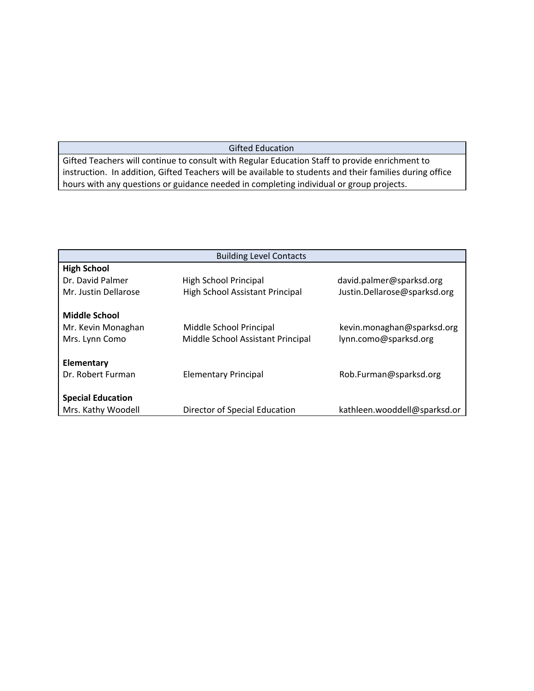#### Gifted Education

Gifted Teachers will continue to consult with Regular Education Staff to provide enrichment to instruction. In addition, Gifted Teachers will be available to students and their families during office hours with any questions or guidance needed in completing individual or group projects.

| <b>Building Level Contacts</b> |                                   |                              |  |  |
|--------------------------------|-----------------------------------|------------------------------|--|--|
| <b>High School</b>             |                                   |                              |  |  |
| Dr. David Palmer               | High School Principal             | david.palmer@sparksd.org     |  |  |
| Mr. Justin Dellarose           | High School Assistant Principal   | Justin.Dellarose@sparksd.org |  |  |
|                                |                                   |                              |  |  |
| <b>Middle School</b>           |                                   |                              |  |  |
| Mr. Kevin Monaghan             | Middle School Principal           | kevin.monaghan@sparksd.org   |  |  |
| Mrs. Lynn Como                 | Middle School Assistant Principal | lynn.como@sparksd.org        |  |  |
|                                |                                   |                              |  |  |
| <b>Elementary</b>              |                                   |                              |  |  |
| Dr. Robert Furman              | Elementary Principal              | Rob.Furman@sparksd.org       |  |  |
|                                |                                   |                              |  |  |
| <b>Special Education</b>       |                                   |                              |  |  |
| Mrs. Kathy Woodell             | Director of Special Education     | kathleen.wooddell@sparksd.or |  |  |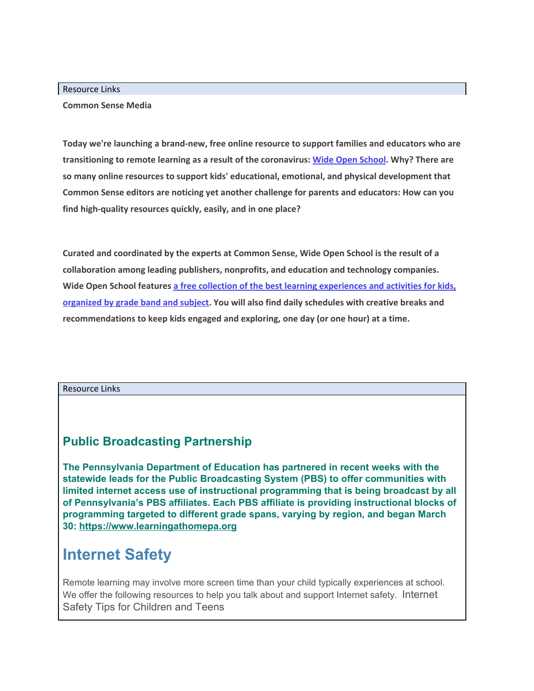Resource Links

**Common Sense Media**

**Today we're launching a brand-new, free online resource to support families and educators who are transitioning to remote learning as a result of the coronavirus: Wide Open [School](http://click.commonsense-email.org/?qs=42491106289dd5c20166ec537c6038c7acb2965d7d0e799a361c2b4dbdd83b27a92303c12856a5bf8f30dfb2ea82f0969cff9dc818c00622e704399332ca397f). Why? There are so many online resources to support kids' educational, emotional, and physical development that Common Sense editors are noticing yet another challenge for parents and educators: How can you find high-quality resources quickly, easily, and in one place?**

**Curated and coordinated by the experts at Common Sense, Wide Open School is the result of a collaboration among leading publishers, nonprofits, and education and technology companies. Wide Open School features a free collection of the best learning [experiences](http://click.commonsense-email.org/?qs=42491106289dd5c27c94beea1cbd7856cbd031fdf4b0e0b2570fb6a05df9735c0c85aedecc66c9aebb32b8389a0163df53c4e39a02b2f24e5b03a6b617a1b33f) and activities for kids, [organized](http://click.commonsense-email.org/?qs=42491106289dd5c27c94beea1cbd7856cbd031fdf4b0e0b2570fb6a05df9735c0c85aedecc66c9aebb32b8389a0163df53c4e39a02b2f24e5b03a6b617a1b33f) by grade band and subject. You will also find daily schedules with creative breaks and recommendations to keep kids engaged and exploring, one day (or one hour) at a time.**

#### Resource Links

## **Public Broadcasting Partnership**

**The Pennsylvania Department of Education has partnered in recent weeks with the statewide leads for the Public Broadcasting System (PBS) to offer communities with limited internet access use of instructional programming that is being broadcast by all of Pennsylvania's PBS affiliates. Each PBS affiliate is providing instructional blocks of programming targeted to different grade spans, varying by region, and began March 30: [https://www.learningathomepa.org](https://gcc01.safelinks.protection.outlook.com/?url=https%3A%2F%2Fwww.learningathomepa.org%2F&data=02%7C01%7Cc-jpittman%40pa.gov%7C3b51ce1aa1e144c61b3508d7d4d55c28%7C418e284101284dd59b6c47fc5a9a1bde%7C0%7C0%7C637211885159608033&sdata=GYzuvd9iLquHcwGMhKA8g7zZs7rxn9wHyHWp8aZVMiY%3D&reserved=0)**

# **Internet Safety**

Remote learning may involve more screen time than your child typically experiences at school. We offer the following resources to help you talk about and support Internet safety. Internet Safety Tips for Children and Teens